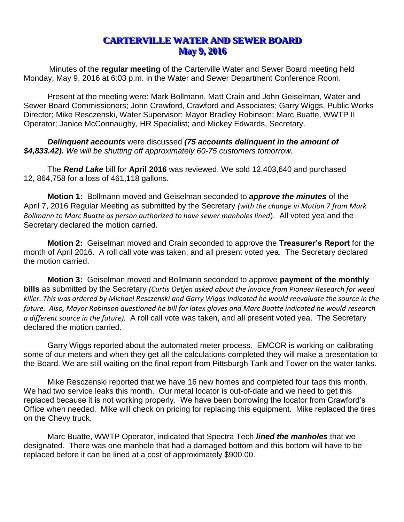## **CARTERVILLE WATER AND SEWER BOARD May 9, 2016**

Minutes of the **regular meeting** of the Carterville Water and Sewer Board meeting held Monday, May 9, 2016 at 6:03 p.m. in the Water and Sewer Department Conference Room.

Present at the meeting were: Mark Bollmann, Matt Crain and John Geiselman, Water and Sewer Board Commissioners; John Crawford, Crawford and Associates; Garry Wiggs, Public Works Director; Mike Resczenski, Water Supervisor; Mayor Bradley Robinson; Marc Buatte, WWTP II Operator; Janice McConnaughy, HR Specialist; and Mickey Edwards, Secretary.

*Delinquent accounts* were discussed *(75 accounts delinquent in the amount of \$4,833.42). We will be shutting off approximately 60-75 customers tomorrow.* 

The *Rend Lake* bill for **April 2016** was reviewed. We sold 12,403,640 and purchased 12, 864,758 for a loss of 461,118 gallons.

**Motion 1:** Bollmann moved and Geiselman seconded to *approve the minutes* of the April 7, 2016 Regular Meeting as submitted by the Secretary *(with the change in Motion 7 from Mark Bollmann to Marc Buatte as person authorized to have sewer manholes lined*). All voted yea and the Secretary declared the motion carried.

**Motion 2:** Geiselman moved and Crain seconded to approve the **Treasurer's Report** for the month of April 2016. A roll call vote was taken, and all present voted yea. The Secretary declared the motion carried.

**Motion 3:** Geiselman moved and Bollmann seconded to approve **payment of the monthly bills** as submitted by the Secretary *(Curtis Oetjen asked about the invoice from Pioneer Research for weed killer. This was ordered by Michael Resczenski and Garry Wiggs indicated he would reevaluate the source in the future. Also, Mayor Robinson questioned he bill for latex gloves and Marc Buatte indicated he would research a different source in the future).* A roll call vote was taken, and all present voted yea. The Secretary declared the motion carried.

Garry Wiggs reported about the automated meter process. EMCOR is working on calibrating some of our meters and when they get all the calculations completed they will make a presentation to the Board. We are still waiting on the final report from Pittsburgh Tank and Tower on the water tanks.

Mike Resczenski reported that we have 16 new homes and completed four taps this month. We had two service leaks this month. Our metal locator is out-of-date and we need to get this replaced because it is not working properly. We have been borrowing the locator from Crawford's Office when needed. Mike will check on pricing for replacing this equipment. Mike replaced the tires on the Chevy truck.

Marc Buatte, WWTP Operator, indicated that Spectra Tech *lined the manholes* that we designated. There was one manhole that had a damaged bottom and this bottom will have to be replaced before it can be lined at a cost of approximately \$900.00.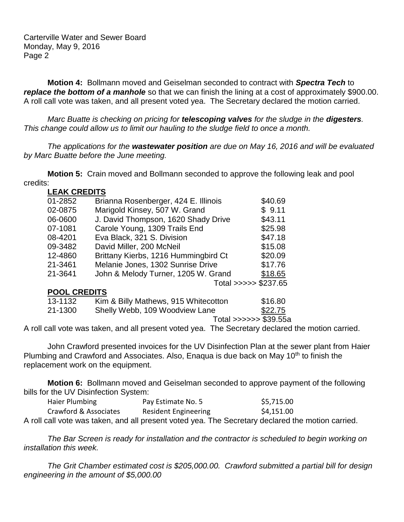Carterville Water and Sewer Board Monday, May 9, 2016 Page 2

**Motion 4:** Bollmann moved and Geiselman seconded to contract with *Spectra Tech* to *replace the bottom of a manhole* so that we can finish the lining at a cost of approximately \$900.00. A roll call vote was taken, and all present voted yea. The Secretary declared the motion carried.

*Marc Buatte is checking on pricing for telescoping valves for the sludge in the digesters. This change could allow us to limit our hauling to the sludge field to once a month.*

*The applications for the wastewater position are due on May 16, 2016 and will be evaluated by Marc Buatte before the June meeting.*

**Motion 5:** Crain moved and Bollmann seconded to approve the following leak and pool credits:

| <b>LEAK CREDITS</b> |                                      |                      |  |  |
|---------------------|--------------------------------------|----------------------|--|--|
| 01-2852             | Brianna Rosenberger, 424 E. Illinois | \$40.69              |  |  |
| 02-0875             | Marigold Kinsey, 507 W. Grand        | \$9.11               |  |  |
| 06-0600             | J. David Thompson, 1620 Shady Drive  | \$43.11              |  |  |
| 07-1081             | Carole Young, 1309 Trails End        | \$25.98              |  |  |
| 08-4201             | Eva Black, 321 S. Division           | \$47.18              |  |  |
| 09-3482             | David Miller, 200 McNeil             | \$15.08              |  |  |
| 12-4860             | Brittany Kierbs, 1216 Hummingbird Ct | \$20.09              |  |  |
| 21-3461             | Melanie Jones, 1302 Sunrise Drive    | \$17.76              |  |  |
| 21-3641             | John & Melody Turner, 1205 W. Grand  | \$18.65              |  |  |
|                     |                                      | Total >>>>> \$237.65 |  |  |
| <b>POOL CREDITS</b> |                                      |                      |  |  |
| 13-1132             | Kim & Billy Mathews, 915 Whitecotton | \$16.80              |  |  |
| 21-1300             | Shelly Webb, 109 Woodview Lane       | \$22.75              |  |  |

## Total >>>>>> \$39.55a

A roll call vote was taken, and all present voted yea. The Secretary declared the motion carried.

John Crawford presented invoices for the UV Disinfection Plan at the sewer plant from Haier Plumbing and Crawford and Associates. Also, Enaqua is due back on May 10<sup>th</sup> to finish the replacement work on the equipment.

**Motion 6:** Bollmann moved and Geiselman seconded to approve payment of the following bills for the UV Disinfection System:

| Haier Plumbing        | Pay Estimate No. 5   | \$5,715.00                                                                                        |
|-----------------------|----------------------|---------------------------------------------------------------------------------------------------|
| Crawford & Associates | Resident Engineering | \$4,151.00                                                                                        |
|                       |                      | A roll call vote was taken, and all present voted yea. The Secretary declared the motion carried. |

*The Bar Screen is ready for installation and the contractor is scheduled to begin working on installation this week.* 

*The Grit Chamber estimated cost is \$205,000.00. Crawford submitted a partial bill for design engineering in the amount of \$5,000.00*